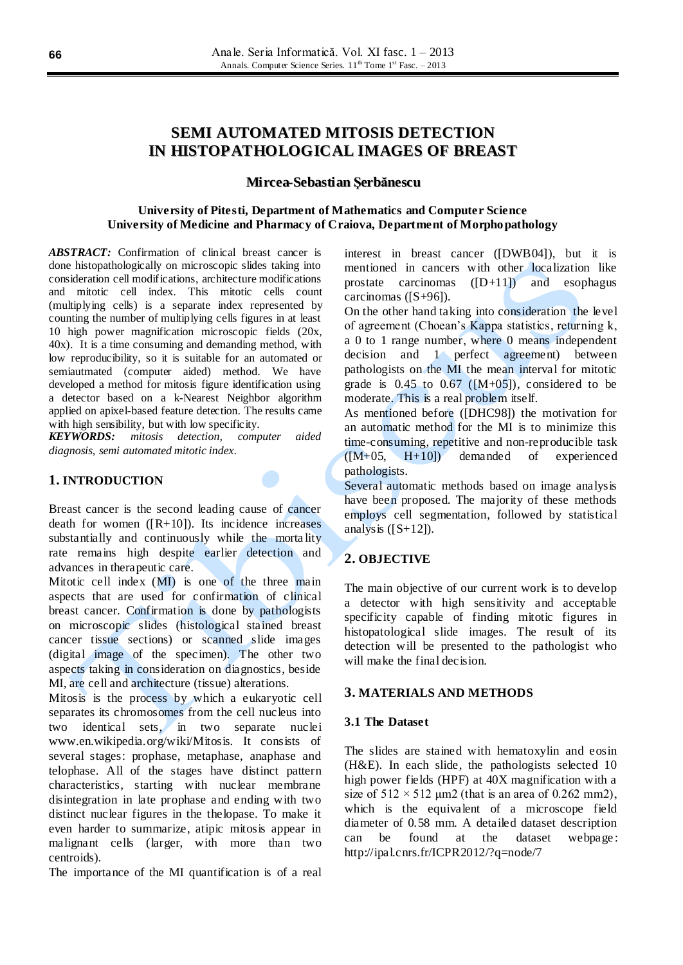# **SEMI AUTOMATED MITOSIS DETECTION IN HISTOPATHOLOGICAL IMAGES OF BREAST**

### **Mircea-Sebastian Şerbănescu**

### **University of Pitesti, Department of Mathematics and Computer Science University of Medicine and Pharmacy of Craiova, Department of Morphopathology**

*ABSTRACT:* Confirmation of clinical breast cancer is done histopathologically on microscopic slides taking into consideration cell modifications, architecture modifications and mitotic cell index. This mitotic cells count (multiplying cells) is a separate index represented by counting the number of multiplying cells figures in at least 10 high power magnification microscopic fields (20x, 40x). It is a time consuming and demanding method, with low reproducibility, so it is suitable for an automated or semiautmated (computer aided) method. We have developed a method for mitosis figure identification using a detector based on a k-Nearest Neighbor algorithm applied on apixel-based feature detection. The results came with high sensibility, but with low specificity.

*KEYWORDS: mitosis detection, computer aided diagnosis, semi automated mitotic index*.

### **1. INTRODUCTION**

Breast cancer is the second leading cause of cancer death for women  $([R+10])$ . Its incidence increases substantially and continuously while the morta lity rate remains high despite earlier detection and advances in therapeutic care.

Mitotic cell index (MI) is one of the three main aspects that are used for confirmation of clinical breast cancer. Confirmation is done by pathologists on microscopic slides (histological stained breast cancer tissue sections) or scanned slide images (digital image of the specimen). The other two aspects taking in consideration on diagnostics, beside MI, are cell and architecture (tissue) alterations.

Mitosis is the process by which a eukaryotic cell separates its chromosomes from the cell nucleus into two identical sets, in two separate nuclei www.en.wikipedia.org/wiki/Mitosis. It consists of several stages: prophase, metaphase, anaphase and telophase. All of the stages have distinct pattern characteristics, starting with nuclear membrane disintegration in late prophase and ending with two distinct nuclear figures in the thelopase. To make it even harder to summarize, atipic mitosis appear in malignant cells (larger, with more than two centroids).

The importance of the MI quantification is of a real

interest in breast cancer ([DWB04]), but it is mentioned in cancers with other localization like prostate carcinomas  $([D+11])$  and esophagus carcinomas ([S+96]).

On the other hand taking into consideration the level of agreement (Choean's Kappa statistics, returning k, a 0 to 1 range number, where 0 means independent decision and 1 perfect agreement) between pathologists on the MI the mean interval for mitotic grade is  $0.45$  to  $0.67$  ( $[M+05]$ ), considered to be moderate. This is a real problem itself.

As mentioned before ([DHC98]) the motivation for an automatic method for the MI is to minimize this time-consuming, repetitive and non-reproducible task  $([M+05, H+10])$  demanded of experienced pathologists.

Several automatic methods based on image analysis have been proposed. The majority of these methods employs cell segmentation, followed by statistical analysis  $([S+12])$ .

# **2. OBJECTIVE**

The main objective of our current work is to develop a detector with high sensitivity and acceptable specificity capable of finding mitotic figures in histopatological slide images. The result of its detection will be presented to the pathologist who will make the final decision.

### **3. MATERIALS AND METHODS**

### **3.1 The Dataset**

The slides are stained with hematoxylin and eosin (H&E). In each slide, the pathologists selected 10 high power fields (HPF) at 40X magnification with a size of  $512 \times 512$  µm2 (that is an area of 0.262 mm2), which is the equivalent of a microscope field diameter of 0.58 mm. A detailed dataset description can be found at the dataset webpage: http://ipal.cnrs.fr/ICPR2012/?q=node/7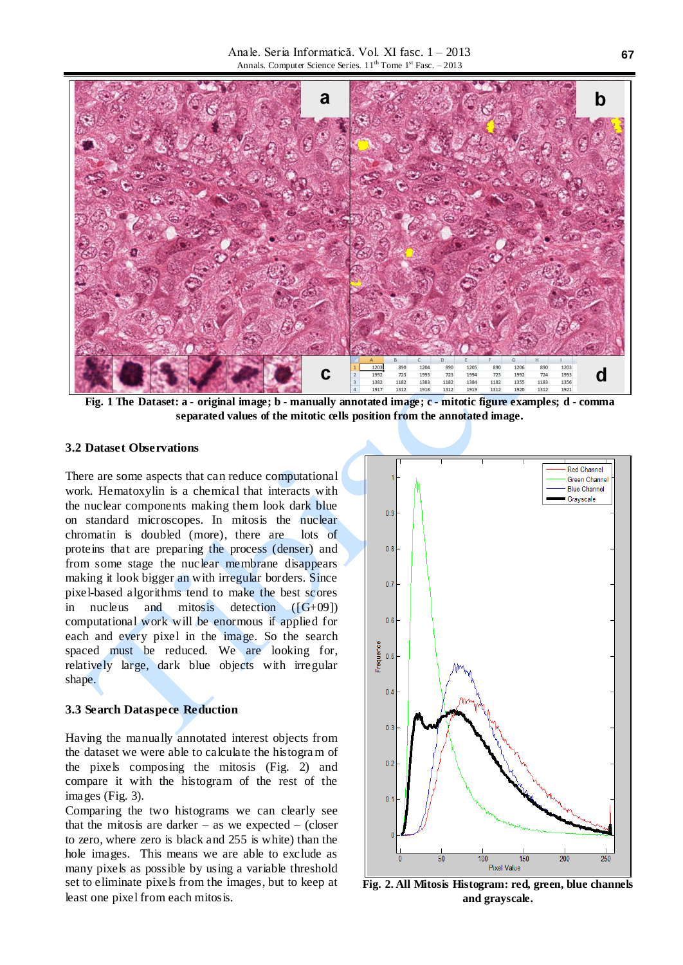Anale. Seria Informatică. Vol. XI fasc. 1 – 2013 Annals. Computer Science Series. 11<sup>th</sup> Tome 1<sup>st</sup> Fasc. - 2013



**Fig. 1 The Dataset: a - original image; b - manually annotated image; c - mitotic figure examples; d - comma separated values of the mitotic cells position from the annotated image.**

# **3.2 Dataset Observations**

There are some aspects that can reduce computational work. Hematoxylin is a chemical that interacts with the nuclear components making them look dark blue on standard microscopes. In mitosis the nuclear chromatin is doubled (more), there are lots of proteins that are preparing the process (denser) and from some stage the nuclear membrane disappears making it look bigger an with irregular borders. Since pixel-based algorithms tend to make the best scores in nucleus and mitosis detection  $([G+09])$ computational work will be enormous if applied for each and every pixel in the image. So the search spaced must be reduced. We are looking for, relatively large, dark blue objects with irregular shape.

#### **3.3 Search Dataspece Reduction**

Having the manually annotated interest objects from the dataset we were able to calculate the histogram of the pixels composing the mitosis (Fig. 2) and compare it with the histogram of the rest of the images (Fig. 3).

Comparing the two histograms we can clearly see that the mitosis are darker – as we expected – (closer to zero, where zero is black and 255 is white) than the hole images. This means we are able to exclude as many pixels as possible by using a variable threshold set to eliminate pixels from the images, but to keep at least one pixel from each mitosis.



**Fig. 2. All Mitosis Histogram: red, green, blue channels and grayscale.**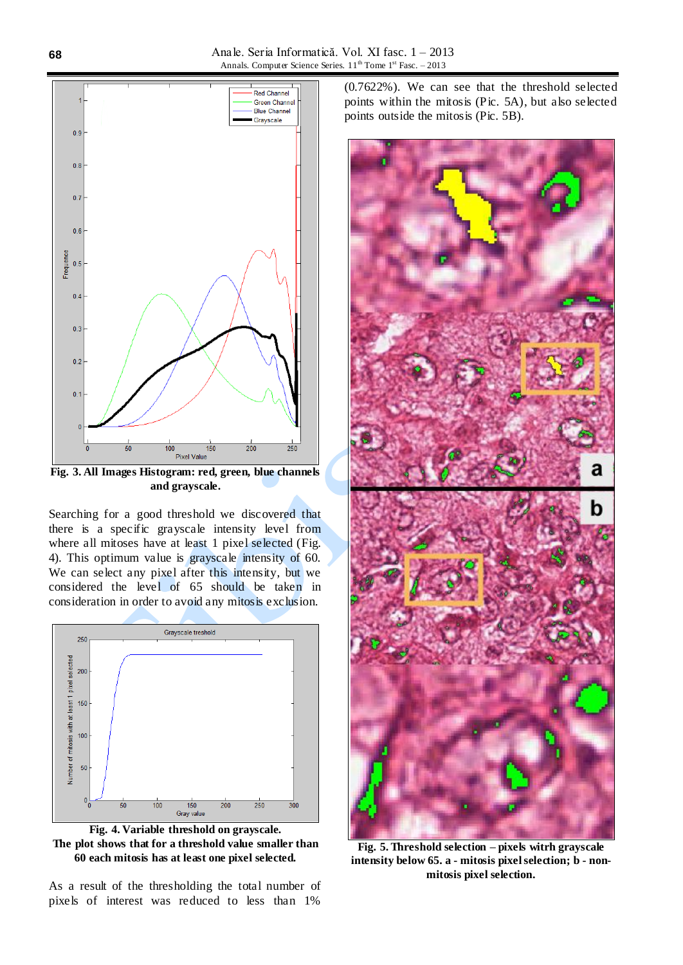

**Fig. 3. All Images Histogram: red, green, blue channels and grayscale.**

Searching for a good threshold we discovered that there is a specific grayscale intensity level from where all mitoses have at least 1 pixel selected (Fig. 4). This optimum value is grayscale intensity of 60. We can select any pixel after this intensity, but we considered the level of 65 should be taken in consideration in order to avoid any mitosis exclusion.



**Fig. 4. Variable threshold on grayscale. The plot shows that for a threshold value smaller than 60 each mitosis has at least one pixel selected.**

As a result of the thresholding the total number of pixels of interest was reduced to less than 1%

(0.7622%). We can see that the threshold selected points within the mitosis (Pic. 5A), but also selected points outside the mitosis (Pic. 5B).



**Fig. 5. Threshold selection – pixels witrh grayscale intensity below 65. a - mitosis pixel selection; b - nonmitosis pixel selection.**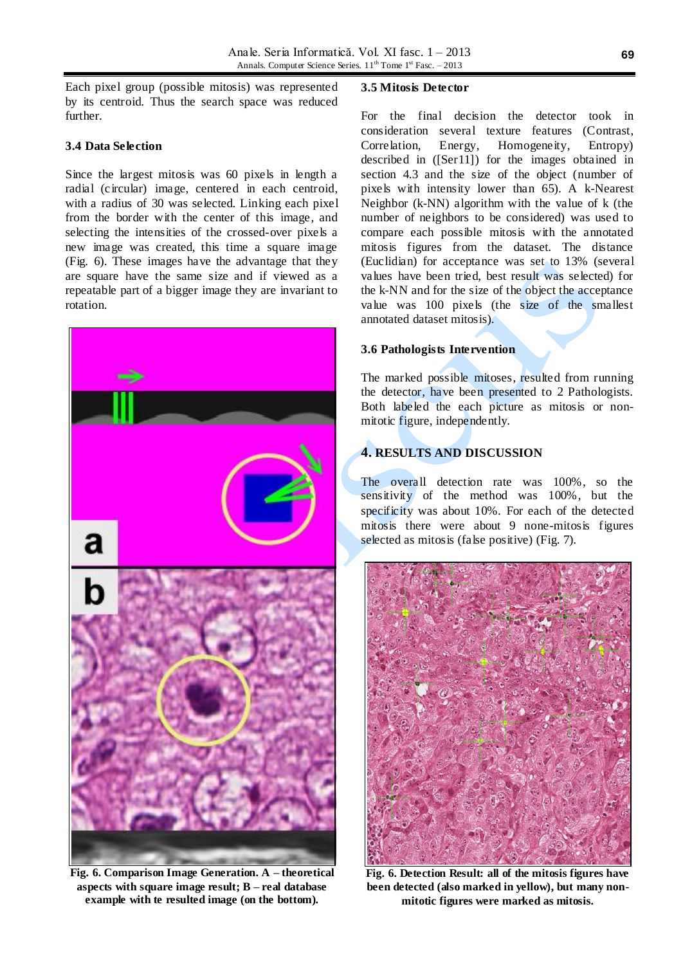Each pixel group (possible mitosis) was represented by its centroid. Thus the search space was reduced further.

## **3.4 Data Selection**

Since the largest mitosis was 60 pixels in length a radial (circular) image, centered in each centroid, with a radius of 30 was selected. Linking each pixel from the border with the center of this image, and selecting the intensities of the crossed-over pixels a new image was created, this time a square image (Fig. 6). These images have the advantage that they are square have the same size and if viewed as a repeatable part of a bigger image they are invariant to rotation.



**Fig. 6. Comparison Image Generation. A – theoretical aspects with square image result; B – real database example with te resulted image (on the bottom).**

### **3.5 Mitosis Detector**

For the final decision the detector took in consideration several texture features (Contrast, Correlation, Energy, Homogeneity, Entropy) described in ([Ser11]) for the images obtained in section 4.3 and the size of the object (number of pixels with intensity lower than 65). A k-Nearest Neighbor (k-NN) algorithm with the value of k (the number of neighbors to be considered) was used to compare each possible mitosis with the annotated mitosis figures from the dataset. The distance (Euclidian) for acceptance was set to 13% (several values have been tried, best result was selected) for the k-NN and for the size of the object the acceptance value was 100 pixels (the size of the smallest annotated dataset mitosis).

# **3.6 Pathologists Intervention**

The marked possible mitoses, resulted from running the detector, have been presented to 2 Pathologists. Both labeled the each picture as mitosis or nonmitotic figure, independently.

# **4. RESULTS AND DISCUSSION**

The overall detection rate was 100%, so the sensitivity of the method was 100%, but the specificity was about 10%. For each of the detected mitosis there were about 9 none-mitosis figures selected as mitosis (false positive) (Fig. 7).



**Fig. 6. Detection Result: all of the mitosis figures have been detected (also marked in yellow), but many nonmitotic figures were marked as mitosis.**